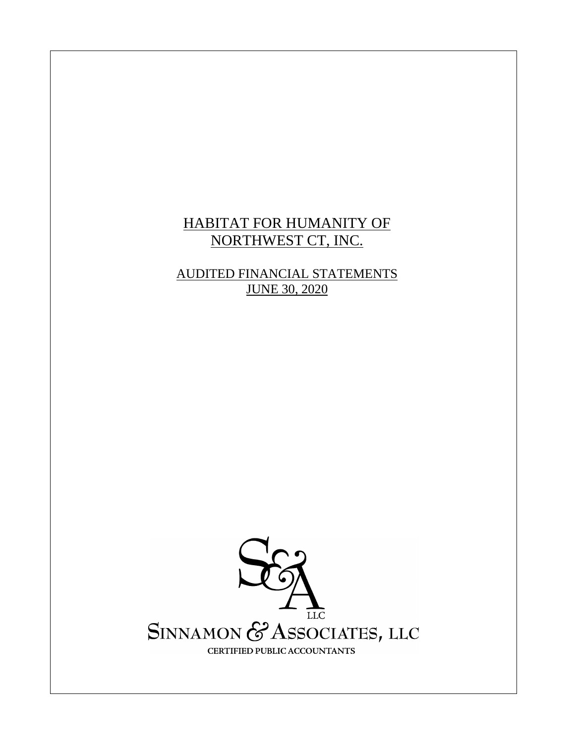# HABITAT FOR HUMANITY OF NORTHWEST CT, INC.

# AUDITED FINANCIAL STATEMENTS JUNE 30, 2020

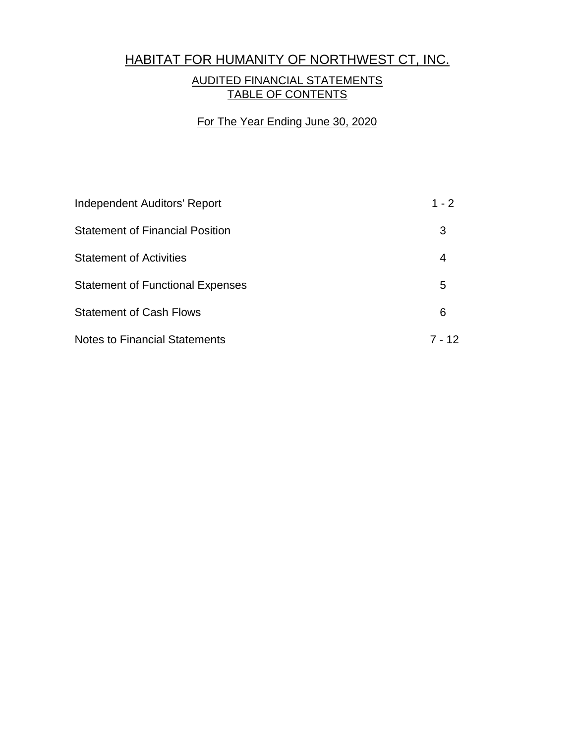# HABITAT FOR HUMANITY OF NORTHWEST CT, INC.

# TABLE OF CONTENTS AUDITED FINANCIAL STATEMENTS

# For The Year Ending June 30, 2020

| Independent Auditors' Report            | $1 - 2$ |
|-----------------------------------------|---------|
| <b>Statement of Financial Position</b>  | 3       |
| <b>Statement of Activities</b>          | 4       |
| <b>Statement of Functional Expenses</b> | 5       |
| <b>Statement of Cash Flows</b>          | 6       |
| <b>Notes to Financial Statements</b>    | 7 - 12  |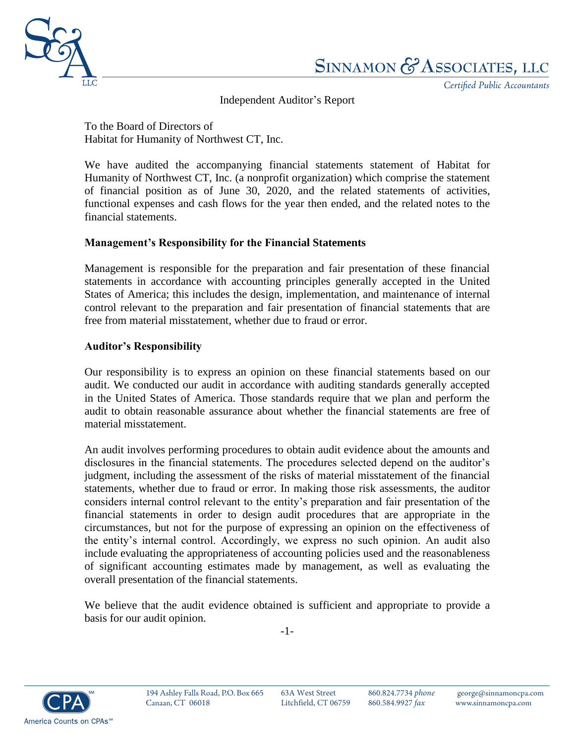

*Certified Public Accountants*

Independent Auditor's Report

To the Board of Directors of Habitat for Humanity of Northwest CT, Inc.

We have audited the accompanying financial statements statement of Habitat for Humanity of Northwest CT, Inc. (a nonprofit organization) which comprise the statement of financial position as of June 30, 2020, and the related statements of activities, functional expenses and cash flows for the year then ended, and the related notes to the financial statements.

## **Management's Responsibility for the Financial Statements**

Management is responsible for the preparation and fair presentation of these financial statements in accordance with accounting principles generally accepted in the United States of America; this includes the design, implementation, and maintenance of internal control relevant to the preparation and fair presentation of financial statements that are free from material misstatement, whether due to fraud or error.

## **Auditor's Responsibility**

Our responsibility is to express an opinion on these financial statements based on our audit. We conducted our audit in accordance with auditing standards generally accepted in the United States of America. Those standards require that we plan and perform the audit to obtain reasonable assurance about whether the financial statements are free of material misstatement.

An audit involves performing procedures to obtain audit evidence about the amounts and disclosures in the financial statements. The procedures selected depend on the auditor's judgment, including the assessment of the risks of material misstatement of the financial statements, whether due to fraud or error. In making those risk assessments, the auditor considers internal control relevant to the entity's preparation and fair presentation of the financial statements in order to design audit procedures that are appropriate in the circumstances, but not for the purpose of expressing an opinion on the effectiveness of the entity's internal control. Accordingly, we express no such opinion. An audit also include evaluating the appropriateness of accounting policies used and the reasonableness of significant accounting estimates made by management, as well as evaluating the overall presentation of the financial statements.

We believe that the audit evidence obtained is sufficient and appropriate to provide a basis for our audit opinion.

-1-

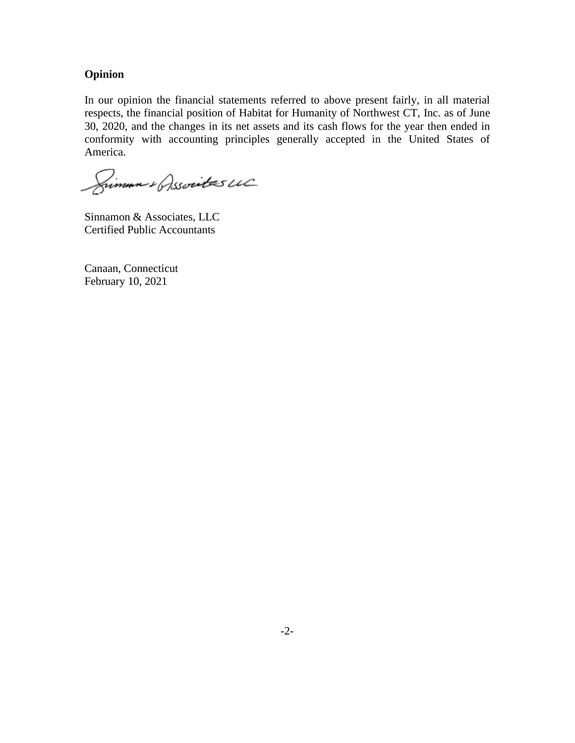#### **Opinion**

In our opinion the financial statements referred to above present fairly, in all material respects, the financial position of Habitat for Humanity of Northwest CT, Inc. as of June 30, 2020, and the changes in its net assets and its cash flows for the year then ended in conformity with accounting principles generally accepted in the United States of America.

Simmon + Assocites UC

Sinnamon & Associates, LLC Certified Public Accountants

Canaan, Connecticut February 10, 2021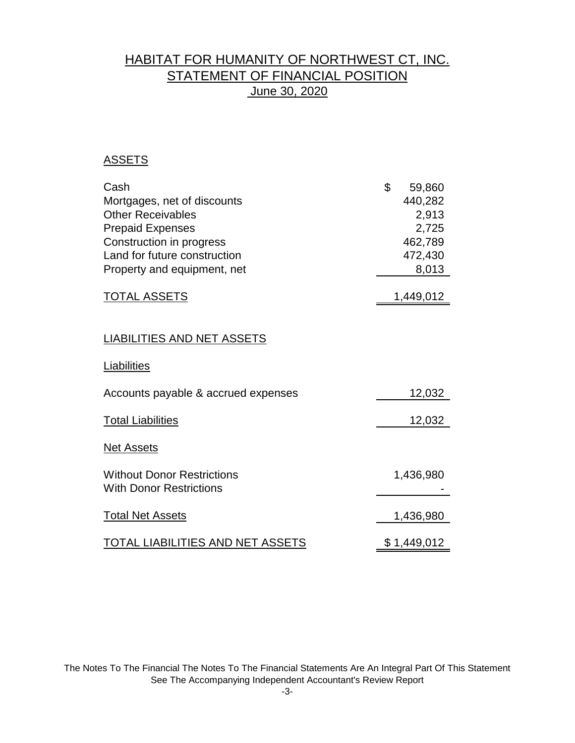# HABITAT FOR HUMANITY OF NORTHWEST CT, INC. STATEMENT OF FINANCIAL POSITION June 30, 2020

#### **ASSETS**

| Cash<br>Mortgages, net of discounts<br><b>Other Receivables</b><br><b>Prepaid Expenses</b><br>Construction in progress<br>Land for future construction<br>Property and equipment, net | \$<br>59,860<br>440,282<br>2,913<br>2,725<br>462,789<br>472,430<br>8,013 |
|---------------------------------------------------------------------------------------------------------------------------------------------------------------------------------------|--------------------------------------------------------------------------|
| <u>TOTAL ASSETS</u>                                                                                                                                                                   | 1,449,012                                                                |
| <b>LIABILITIES AND NET ASSETS</b><br><b>Liabilities</b>                                                                                                                               |                                                                          |
| Accounts payable & accrued expenses                                                                                                                                                   | 12,032                                                                   |
| <b>Total Liabilities</b>                                                                                                                                                              | 12,032                                                                   |
| <b>Net Assets</b>                                                                                                                                                                     |                                                                          |
| <b>Without Donor Restrictions</b><br><b>With Donor Restrictions</b>                                                                                                                   | 1,436,980                                                                |
| <b>Total Net Assets</b>                                                                                                                                                               | 1,436,980                                                                |
| TOTAL LIABILITIES AND NET ASSETS                                                                                                                                                      | \$1,449,012                                                              |

The Notes To The Financial The Notes To The Financial Statements Are An Integral Part Of This Statement See The Accompanying Independent Accountant's Review Report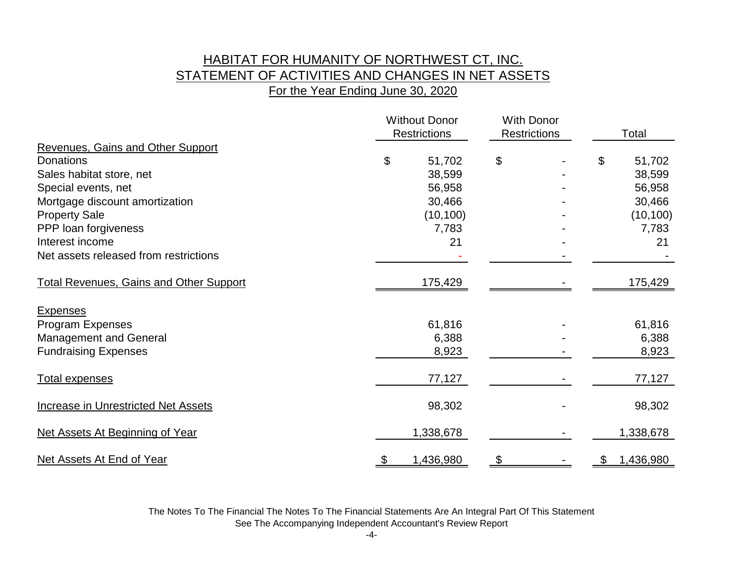# HABITAT FOR HUMANITY OF NORTHWEST CT, INC. STATEMENT OF ACTIVITIES AND CHANGES IN NET ASSETS For the Year Ending June 30, 2020

|                                                | <b>Without Donor</b><br><b>Restrictions</b> | <b>Restrictions</b> | <b>With Donor</b> | Total        |
|------------------------------------------------|---------------------------------------------|---------------------|-------------------|--------------|
| <b>Revenues, Gains and Other Support</b>       |                                             |                     |                   |              |
| <b>Donations</b>                               | \$<br>51,702                                | \$                  |                   | \$<br>51,702 |
| Sales habitat store, net                       | 38,599                                      |                     |                   | 38,599       |
| Special events, net                            | 56,958                                      |                     |                   | 56,958       |
| Mortgage discount amortization                 | 30,466                                      |                     |                   | 30,466       |
| <b>Property Sale</b>                           | (10, 100)                                   |                     |                   | (10, 100)    |
| PPP loan forgiveness                           | 7,783                                       |                     |                   | 7,783        |
| Interest income                                | 21                                          |                     |                   | 21           |
| Net assets released from restrictions          |                                             |                     |                   |              |
| <b>Total Revenues, Gains and Other Support</b> | 175,429                                     |                     |                   | 175,429      |
| <b>Expenses</b>                                |                                             |                     |                   |              |
| Program Expenses                               | 61,816                                      |                     |                   | 61,816       |
| <b>Management and General</b>                  | 6,388                                       |                     |                   | 6,388        |
| <b>Fundraising Expenses</b>                    | 8,923                                       |                     |                   | 8,923        |
| <u>Total expenses</u>                          | 77,127                                      |                     |                   | 77,127       |
| <b>Increase in Unrestricted Net Assets</b>     | 98,302                                      |                     |                   | 98,302       |
| Net Assets At Beginning of Year                | 1,338,678                                   |                     |                   | 1,338,678    |
| <b>Net Assets At End of Year</b>               | 1,436,980                                   |                     |                   | 1,436,980    |

The Notes To The Financial The Notes To The Financial Statements Are An Integral Part Of This Statement See The Accompanying Independent Accountant's Review Report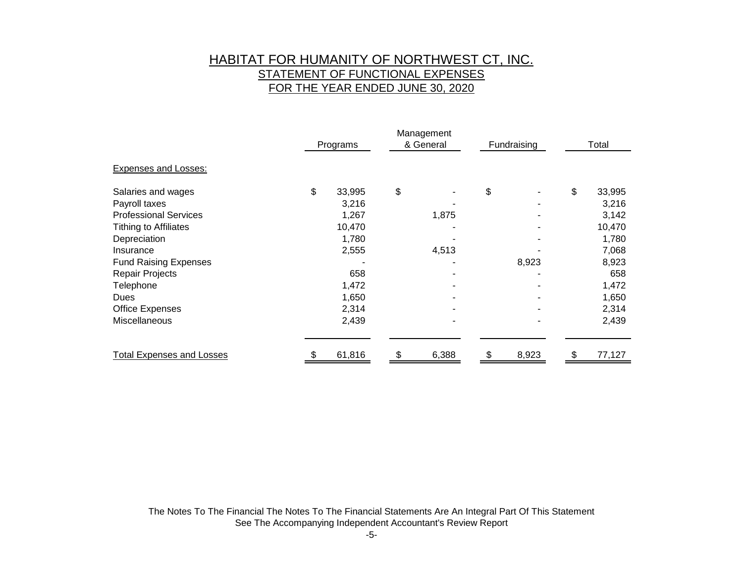# HABITAT FOR HUMANITY OF NORTHWEST CT, INC. STATEMENT OF FUNCTIONAL EXPENSES FOR THE YEAR ENDED JUNE 30, 2020

|                                  | Programs     | Management<br>& General | Fundraising | Total        |
|----------------------------------|--------------|-------------------------|-------------|--------------|
| <b>Expenses and Losses:</b>      |              |                         |             |              |
| Salaries and wages               | \$<br>33,995 | \$                      | \$          | \$<br>33,995 |
| Payroll taxes                    | 3,216        |                         |             | 3,216        |
| <b>Professional Services</b>     | 1,267        | 1,875                   |             | 3,142        |
| <b>Tithing to Affiliates</b>     | 10,470       |                         |             | 10,470       |
| Depreciation                     | 1,780        |                         |             | 1,780        |
| Insurance                        | 2,555        | 4,513                   |             | 7,068        |
| <b>Fund Raising Expenses</b>     |              |                         | 8,923       | 8,923        |
| Repair Projects                  | 658          |                         |             | 658          |
| Telephone                        | 1,472        |                         |             | 1,472        |
| <b>Dues</b>                      | 1,650        |                         |             | 1,650        |
| <b>Office Expenses</b>           | 2,314        |                         |             | 2,314        |
| Miscellaneous                    | 2,439        |                         |             | 2,439        |
| <b>Total Expenses and Losses</b> | 61,816       | 6,388                   | 8,923       | 77,127       |

The Notes To The Financial The Notes To The Financial Statements Are An Integral Part Of This Statement See The Accompanying Independent Accountant's Review Report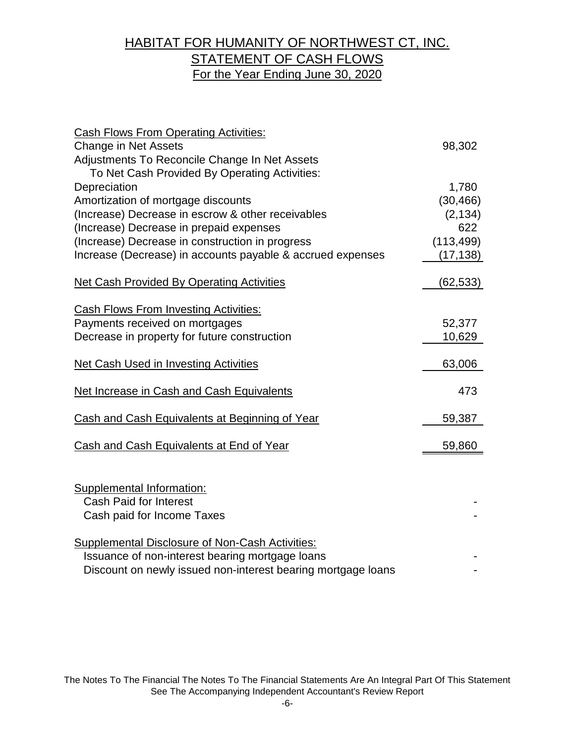# HABITAT FOR HUMANITY OF NORTHWEST CT, INC. STATEMENT OF CASH FLOWS For the Year Ending June 30, 2020

| <b>Cash Flows From Operating Activities:</b>                      |            |
|-------------------------------------------------------------------|------------|
| <b>Change in Net Assets</b>                                       | 98,302     |
| Adjustments To Reconcile Change In Net Assets                     |            |
| To Net Cash Provided By Operating Activities:                     |            |
| Depreciation                                                      | 1,780      |
| Amortization of mortgage discounts                                | (30, 466)  |
| (Increase) Decrease in escrow & other receivables                 | (2, 134)   |
| (Increase) Decrease in prepaid expenses                           | 622        |
| (Increase) Decrease in construction in progress                   | (113, 499) |
| Increase (Decrease) in accounts payable & accrued expenses        | (17, 138)  |
| Net Cash Provided By Operating Activities                         | (62, 533)  |
| <b>Cash Flows From Investing Activities:</b>                      |            |
| Payments received on mortgages                                    | 52,377     |
| Decrease in property for future construction                      | 10,629     |
| <b>Net Cash Used in Investing Activities</b>                      | 63,006     |
| Net Increase in Cash and Cash Equivalents                         | 473        |
| Cash and Cash Equivalents at Beginning of Year                    | 59,387     |
| <b>Cash and Cash Equivalents at End of Year</b>                   | 59,860     |
| <b>Supplemental Information:</b><br><b>Cash Paid for Interest</b> |            |
| Cash paid for Income Taxes                                        |            |
| Supplemental Disclosure of Non-Cash Activities:                   |            |
| Issuance of non-interest bearing mortgage loans                   |            |
| Discount on newly issued non-interest bearing mortgage loans      |            |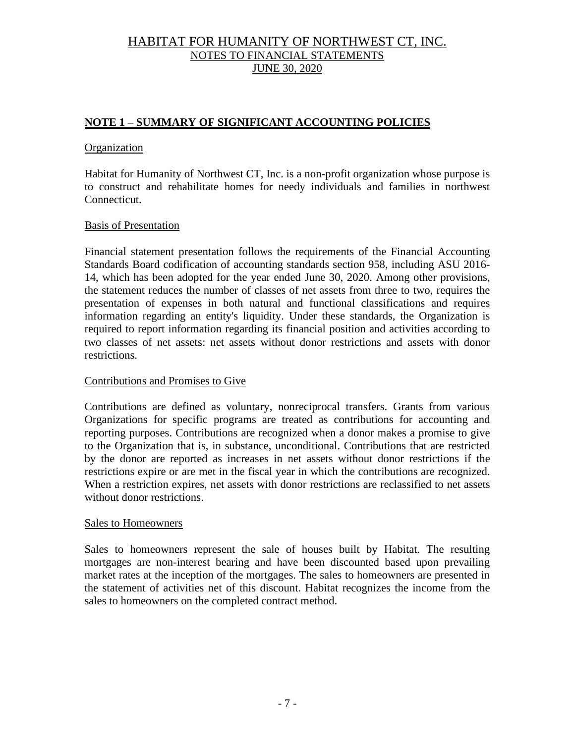## **NOTE 1 – SUMMARY OF SIGNIFICANT ACCOUNTING POLICIES**

#### **Organization**

Habitat for Humanity of Northwest CT, Inc. is a non-profit organization whose purpose is to construct and rehabilitate homes for needy individuals and families in northwest Connecticut.

#### Basis of Presentation

Financial statement presentation follows the requirements of the Financial Accounting Standards Board codification of accounting standards section 958, including ASU 2016- 14, which has been adopted for the year ended June 30, 2020. Among other provisions, the statement reduces the number of classes of net assets from three to two, requires the presentation of expenses in both natural and functional classifications and requires information regarding an entity's liquidity. Under these standards, the Organization is required to report information regarding its financial position and activities according to two classes of net assets: net assets without donor restrictions and assets with donor restrictions.

#### Contributions and Promises to Give

Contributions are defined as voluntary, nonreciprocal transfers. Grants from various Organizations for specific programs are treated as contributions for accounting and reporting purposes. Contributions are recognized when a donor makes a promise to give to the Organization that is, in substance, unconditional. Contributions that are restricted by the donor are reported as increases in net assets without donor restrictions if the restrictions expire or are met in the fiscal year in which the contributions are recognized. When a restriction expires, net assets with donor restrictions are reclassified to net assets without donor restrictions.

#### Sales to Homeowners

Sales to homeowners represent the sale of houses built by Habitat. The resulting mortgages are non-interest bearing and have been discounted based upon prevailing market rates at the inception of the mortgages. The sales to homeowners are presented in the statement of activities net of this discount. Habitat recognizes the income from the sales to homeowners on the completed contract method.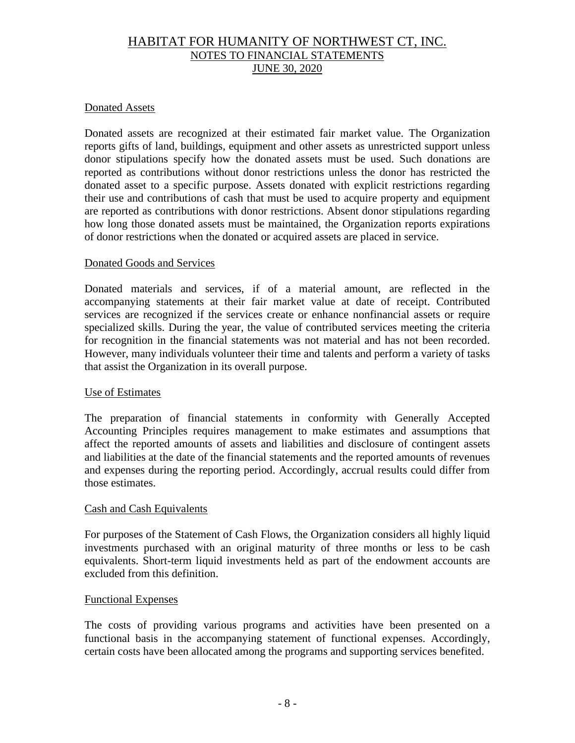#### Donated Assets

Donated assets are recognized at their estimated fair market value. The Organization reports gifts of land, buildings, equipment and other assets as unrestricted support unless donor stipulations specify how the donated assets must be used. Such donations are reported as contributions without donor restrictions unless the donor has restricted the donated asset to a specific purpose. Assets donated with explicit restrictions regarding their use and contributions of cash that must be used to acquire property and equipment are reported as contributions with donor restrictions. Absent donor stipulations regarding how long those donated assets must be maintained, the Organization reports expirations of donor restrictions when the donated or acquired assets are placed in service.

#### Donated Goods and Services

Donated materials and services, if of a material amount, are reflected in the accompanying statements at their fair market value at date of receipt. Contributed services are recognized if the services create or enhance nonfinancial assets or require specialized skills. During the year, the value of contributed services meeting the criteria for recognition in the financial statements was not material and has not been recorded. However, many individuals volunteer their time and talents and perform a variety of tasks that assist the Organization in its overall purpose.

#### Use of Estimates

The preparation of financial statements in conformity with Generally Accepted Accounting Principles requires management to make estimates and assumptions that affect the reported amounts of assets and liabilities and disclosure of contingent assets and liabilities at the date of the financial statements and the reported amounts of revenues and expenses during the reporting period. Accordingly, accrual results could differ from those estimates.

## Cash and Cash Equivalents

For purposes of the Statement of Cash Flows, the Organization considers all highly liquid investments purchased with an original maturity of three months or less to be cash equivalents. Short-term liquid investments held as part of the endowment accounts are excluded from this definition.

#### Functional Expenses

The costs of providing various programs and activities have been presented on a functional basis in the accompanying statement of functional expenses. Accordingly, certain costs have been allocated among the programs and supporting services benefited.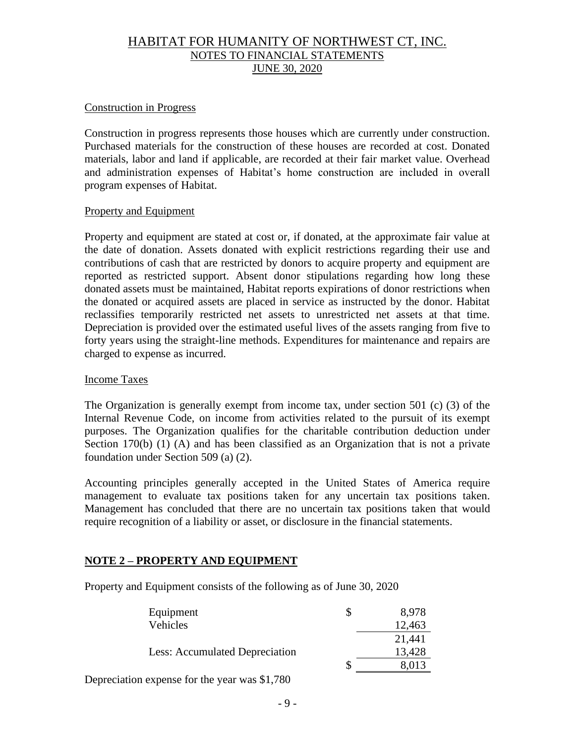#### Construction in Progress

Construction in progress represents those houses which are currently under construction. Purchased materials for the construction of these houses are recorded at cost. Donated materials, labor and land if applicable, are recorded at their fair market value. Overhead and administration expenses of Habitat's home construction are included in overall program expenses of Habitat.

#### Property and Equipment

Property and equipment are stated at cost or, if donated, at the approximate fair value at the date of donation. Assets donated with explicit restrictions regarding their use and contributions of cash that are restricted by donors to acquire property and equipment are reported as restricted support. Absent donor stipulations regarding how long these donated assets must be maintained, Habitat reports expirations of donor restrictions when the donated or acquired assets are placed in service as instructed by the donor. Habitat reclassifies temporarily restricted net assets to unrestricted net assets at that time. Depreciation is provided over the estimated useful lives of the assets ranging from five to forty years using the straight-line methods. Expenditures for maintenance and repairs are charged to expense as incurred.

#### Income Taxes

The Organization is generally exempt from income tax, under section 501 (c) (3) of the Internal Revenue Code, on income from activities related to the pursuit of its exempt purposes. The Organization qualifies for the charitable contribution deduction under Section 170(b) (1) (A) and has been classified as an Organization that is not a private foundation under Section 509 (a) (2).

Accounting principles generally accepted in the United States of America require management to evaluate tax positions taken for any uncertain tax positions taken. Management has concluded that there are no uncertain tax positions taken that would require recognition of a liability or asset, or disclosure in the financial statements.

## **NOTE 2 – PROPERTY AND EQUIPMENT**

Property and Equipment consists of the following as of June 30, 2020

|         | Equipment                                                               | S  | 8,978  |
|---------|-------------------------------------------------------------------------|----|--------|
|         | Vehicles                                                                |    | 12,463 |
|         |                                                                         |    | 21,441 |
|         | Less: Accumulated Depreciation                                          |    | 13,428 |
|         |                                                                         | J, |        |
| $\cdot$ | $\uparrow$ $\uparrow$ $\uparrow$ $\uparrow$ $\uparrow$<br>$\sim$ $\sim$ |    |        |

Depreciation expense for the year was \$1,780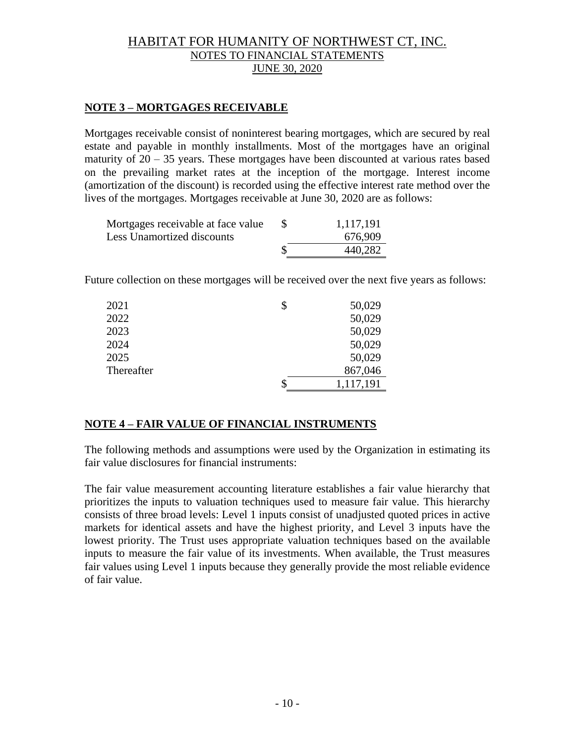## **NOTE 3 – MORTGAGES RECEIVABLE**

Mortgages receivable consist of noninterest bearing mortgages, which are secured by real estate and payable in monthly installments. Most of the mortgages have an original maturity of  $20 - 35$  years. These mortgages have been discounted at various rates based on the prevailing market rates at the inception of the mortgage. Interest income (amortization of the discount) is recorded using the effective interest rate method over the lives of the mortgages. Mortgages receivable at June 30, 2020 are as follows:

| Mortgages receivable at face value | 1,117,191 |
|------------------------------------|-----------|
| Less Unamortized discounts         | 676,909   |
|                                    | 440,282   |

Future collection on these mortgages will be received over the next five years as follows:

| 2021       | \$<br>50,029 |
|------------|--------------|
| 2022       | 50,029       |
| 2023       | 50,029       |
| 2024       | 50,029       |
| 2025       | 50,029       |
| Thereafter | 867,046      |
|            | 1,117,191    |

## **NOTE 4 – FAIR VALUE OF FINANCIAL INSTRUMENTS**

The following methods and assumptions were used by the Organization in estimating its fair value disclosures for financial instruments:

The fair value measurement accounting literature establishes a fair value hierarchy that prioritizes the inputs to valuation techniques used to measure fair value. This hierarchy consists of three broad levels: Level 1 inputs consist of unadjusted quoted prices in active markets for identical assets and have the highest priority, and Level 3 inputs have the lowest priority. The Trust uses appropriate valuation techniques based on the available inputs to measure the fair value of its investments. When available, the Trust measures fair values using Level 1 inputs because they generally provide the most reliable evidence of fair value.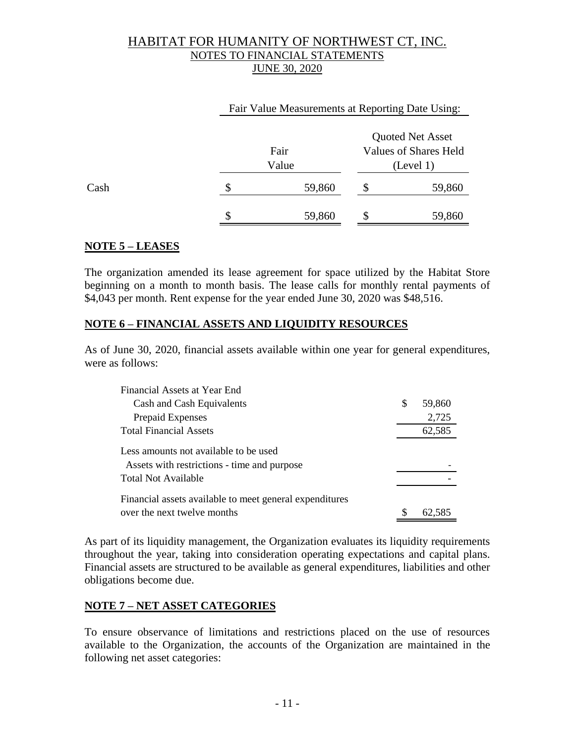|      |    | Fair Value Measurements at Reporting Date Using: |          |                                                                      |  |  |
|------|----|--------------------------------------------------|----------|----------------------------------------------------------------------|--|--|
|      |    | Fair<br>Value                                    |          | <b>Quoted Net Asset</b><br><b>Values of Shares Held</b><br>(Level 1) |  |  |
| Cash | S  | 59,860                                           | <b>S</b> | 59,860                                                               |  |  |
|      | \$ | 59,860                                           |          | 59,860                                                               |  |  |

#### **NOTE 5 – LEASES**

The organization amended its lease agreement for space utilized by the Habitat Store beginning on a month to month basis. The lease calls for monthly rental payments of \$4,043 per month. Rent expense for the year ended June 30, 2020 was \$48,516.

#### **NOTE 6 – FINANCIAL ASSETS AND LIQUIDITY RESOURCES**

As of June 30, 2020, financial assets available within one year for general expenditures, were as follows:

| Financial Assets at Year End                                                           |              |
|----------------------------------------------------------------------------------------|--------------|
| Cash and Cash Equivalents                                                              | \$<br>59,860 |
| Prepaid Expenses                                                                       | 2,725        |
| <b>Total Financial Assets</b>                                                          | 62,585       |
| Less amounts not available to be used<br>Assets with restrictions - time and purpose   |              |
| <b>Total Not Available</b>                                                             |              |
| Financial assets available to meet general expenditures<br>over the next twelve months |              |
|                                                                                        |              |

As part of its liquidity management, the Organization evaluates its liquidity requirements throughout the year, taking into consideration operating expectations and capital plans. Financial assets are structured to be available as general expenditures, liabilities and other obligations become due.

## **NOTE 7 – NET ASSET CATEGORIES**

To ensure observance of limitations and restrictions placed on the use of resources available to the Organization, the accounts of the Organization are maintained in the following net asset categories: